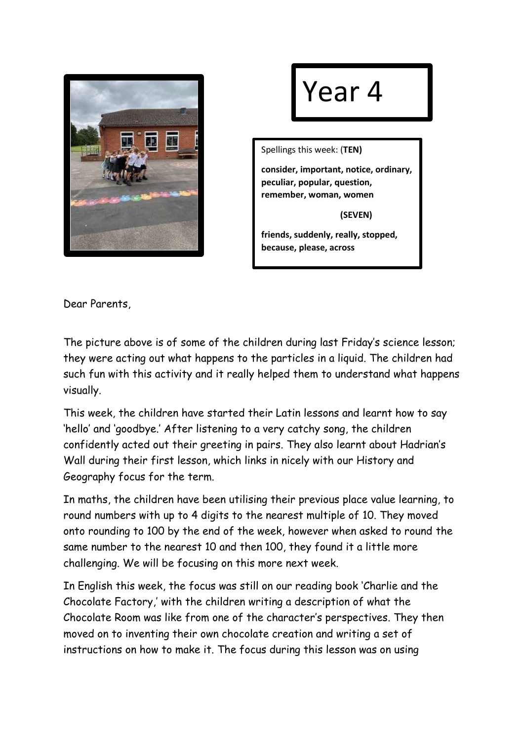

## Year 4

Spellings this week: (**TEN)**

**consider, important, notice, ordinary, peculiar, popular, question, remember, woman, women**

 **(SEVEN)**

**friends, suddenly, really, stopped, because, please, across**

Dear Parents,

The picture above is of some of the children during last Friday's science lesson; they were acting out what happens to the particles in a liquid. The children had such fun with this activity and it really helped them to understand what happens visually.

This week, the children have started their Latin lessons and learnt how to say 'hello' and 'goodbye.' After listening to a very catchy song, the children confidently acted out their greeting in pairs. They also learnt about Hadrian's Wall during their first lesson, which links in nicely with our History and Geography focus for the term.

In maths, the children have been utilising their previous place value learning, to round numbers with up to 4 digits to the nearest multiple of 10. They moved onto rounding to 100 by the end of the week, however when asked to round the same number to the nearest 10 and then 100, they found it a little more challenging. We will be focusing on this more next week.

In English this week, the focus was still on our reading book 'Charlie and the Chocolate Factory,' with the children writing a description of what the Chocolate Room was like from one of the character's perspectives. They then moved on to inventing their own chocolate creation and writing a set of instructions on how to make it. The focus during this lesson was on using